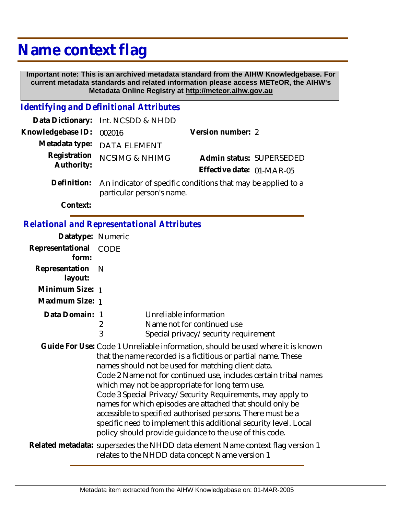## **Name context flag**

 **Important note: This is an archived metadata standard from the AIHW Knowledgebase. For current metadata standards and related information please access METeOR, the AIHW's Metadata Online Registry at http://meteor.aihw.gov.au**

## *Identifying and Definitional Attributes*

|                            | Data Dictionary: Int. NCSDD & NHDD                                                                    |                           |  |
|----------------------------|-------------------------------------------------------------------------------------------------------|---------------------------|--|
| Knowledgebase ID: 002016   |                                                                                                       | Version number: 2         |  |
|                            | Metadata type: DATA ELEMENT                                                                           |                           |  |
| Registration<br>Authority: | <b>NCSIMG &amp; NHIMG</b>                                                                             | Admin status: SUPERSEDED  |  |
|                            |                                                                                                       | Effective date: 01-MAR-05 |  |
|                            | Definition: An indicator of specific conditions that may be applied to a<br>particular person's name. |                           |  |

**Context:**

## *Relational and Representational Attributes*

| Datatype: Numeric         |                                                                                                                                                                                                                                                                                                                                                                                                                                                                                                                                                                                                                                                       |                                                                                              |
|---------------------------|-------------------------------------------------------------------------------------------------------------------------------------------------------------------------------------------------------------------------------------------------------------------------------------------------------------------------------------------------------------------------------------------------------------------------------------------------------------------------------------------------------------------------------------------------------------------------------------------------------------------------------------------------------|----------------------------------------------------------------------------------------------|
| Representational<br>form: | CODE                                                                                                                                                                                                                                                                                                                                                                                                                                                                                                                                                                                                                                                  |                                                                                              |
| Representation<br>layout: | - N                                                                                                                                                                                                                                                                                                                                                                                                                                                                                                                                                                                                                                                   |                                                                                              |
| Minimum Size: 1           |                                                                                                                                                                                                                                                                                                                                                                                                                                                                                                                                                                                                                                                       |                                                                                              |
| Maximum Size: 1           |                                                                                                                                                                                                                                                                                                                                                                                                                                                                                                                                                                                                                                                       |                                                                                              |
| Data Domain: 1            | 2<br>3                                                                                                                                                                                                                                                                                                                                                                                                                                                                                                                                                                                                                                                | Unreliable information<br>Name not for continued use<br>Special privacy/security requirement |
|                           | Guide For Use: Code 1 Unreliable information, should be used where it is known<br>that the name recorded is a fictitious or partial name. These<br>names should not be used for matching client data.<br>Code 2 Name not for continued use, includes certain tribal names<br>which may not be appropriate for long term use.<br>Code 3 Special Privacy/Security Requirements, may apply to<br>names for which episodes are attached that should only be<br>accessible to specified authorised persons. There must be a<br>specific need to implement this additional security level. Local<br>policy should provide guidance to the use of this code. |                                                                                              |
|                           | Related metadata: supersedes the NHDD data element Name context flag version 1<br>relates to the NHDD data concept Name version 1                                                                                                                                                                                                                                                                                                                                                                                                                                                                                                                     |                                                                                              |